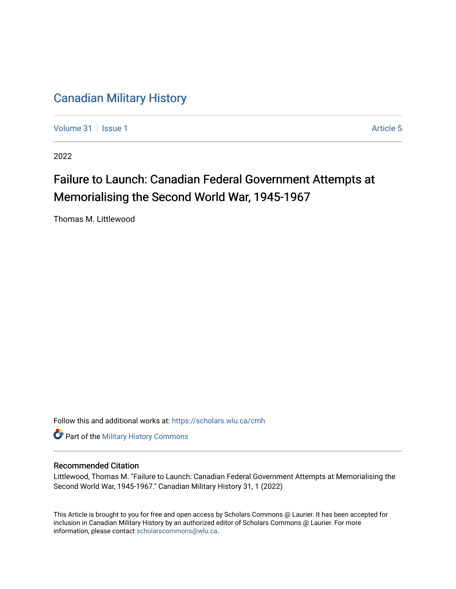## [Canadian Military History](https://scholars.wlu.ca/cmh)

[Volume 31](https://scholars.wlu.ca/cmh/vol31) | [Issue 1](https://scholars.wlu.ca/cmh/vol31/iss1) Article 5

2022

# Failure to Launch: Canadian Federal Government Attempts at Memorialising the Second World War, 1945-1967

Thomas M. Littlewood

Follow this and additional works at: [https://scholars.wlu.ca/cmh](https://scholars.wlu.ca/cmh?utm_source=scholars.wlu.ca%2Fcmh%2Fvol31%2Fiss1%2F5&utm_medium=PDF&utm_campaign=PDFCoverPages)

**Part of the Military History Commons** 

## Recommended Citation

Littlewood, Thomas M. "Failure to Launch: Canadian Federal Government Attempts at Memorialising the Second World War, 1945-1967." Canadian Military History 31, 1 (2022)

This Article is brought to you for free and open access by Scholars Commons @ Laurier. It has been accepted for inclusion in Canadian Military History by an authorized editor of Scholars Commons @ Laurier. For more information, please contact [scholarscommons@wlu.ca](mailto:scholarscommons@wlu.ca).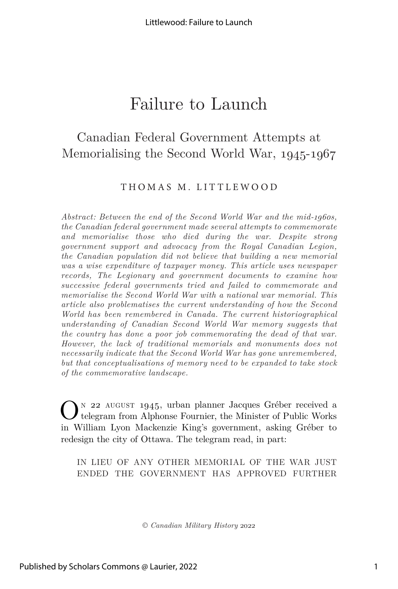## Canadian Federal Government Attempts at Memorialising the Second World War, 1945-1967

## THOMAS M. LITTLEWOOD

*Abstract: Between the end of the Second World War and the mid-1960s, the Canadian federal government made several attempts to commemorate and memorialise those who died during the war. Despite strong government support and advocacy from the Royal Canadian Legion, the Canadian population did not believe that building a new memorial was a wise expenditure of taxpayer money. This article uses newspaper records, The Legionary and government documents to examine how successive federal governments tried and failed to commemorate and memorialise the Second World War with a national war memorial. This article also problematises the current understanding of how the Second World has been remembered in Canada. The current historiographical understanding of Canadian Second World War memory suggests that the country has done a poor job commemorating the dead of that war. However, the lack of traditional memorials and monuments does not necessarily indicate that the Second World War has gone unremembered, but that conceptualisations of memory need to be expanded to take stock of the commemorative landscape.*

 $\mathbf{O}^{\text{\tiny{N}}}$ 22 AUGUST 1945, urban planner Jacques Gréber received a telegram from Alphonse Fournier, the Minister of Public Works in William Lyon Mackenzie King's government, asking Gréber to redesign the city of Ottawa. The telegram read, in part:

IN LIEU OF ANY OTHER MEMORIAL OF THE WAR JUST ENDED THE GOVERNMENT HAS APPROVED FURTHER

© *Canadian Military History* 2022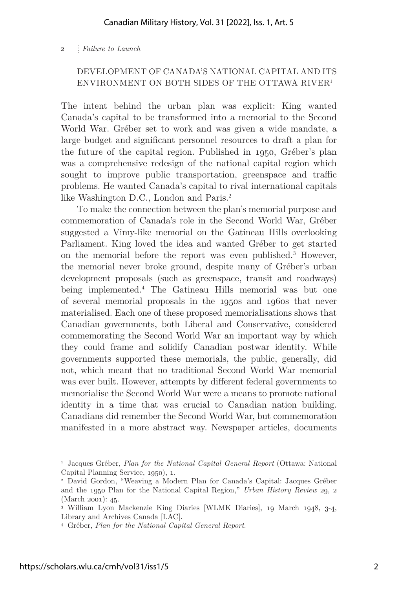## DEVELOPMENT OF CANADA'S NATIONAL CAPITAL AND ITS ENVIRONMENT ON BOTH SIDES OF THE OTTAWA RIVER1

The intent behind the urban plan was explicit: King wanted Canada's capital to be transformed into a memorial to the Second World War. Gréber set to work and was given a wide mandate, a large budget and significant personnel resources to draft a plan for the future of the capital region. Published in 1950, Gréber's plan was a comprehensive redesign of the national capital region which sought to improve public transportation, greenspace and traffic problems. He wanted Canada's capital to rival international capitals like Washington D.C., London and Paris.<sup>2</sup>

To make the connection between the plan's memorial purpose and commemoration of Canada's role in the Second World War, Gréber suggested a Vimy-like memorial on the Gatineau Hills overlooking Parliament. King loved the idea and wanted Gréber to get started on the memorial before the report was even published.3 However, the memorial never broke ground, despite many of Gréber's urban development proposals (such as greenspace, transit and roadways) being implemented.4 The Gatineau Hills memorial was but one of several memorial proposals in the 1950s and 1960s that never materialised. Each one of these proposed memorialisations shows that Canadian governments, both Liberal and Conservative, considered commemorating the Second World War an important way by which they could frame and solidify Canadian postwar identity. While governments supported these memorials, the public, generally, did not, which meant that no traditional Second World War memorial was ever built. However, attempts by different federal governments to memorialise the Second World War were a means to promote national identity in a time that was crucial to Canadian nation building. Canadians did remember the Second World War, but commemoration manifested in a more abstract way. Newspaper articles, documents

<sup>1</sup> Jacques Gréber, *Plan for the National Capital General Report* (Ottawa: National Capital Planning Service, 1950), 1.

<sup>2</sup> David Gordon, "Weaving a Modern Plan for Canada's Capital: Jacques Gréber and the 1950 Plan for the National Capital Region," *Urban History Review* 29, 2 (March 2001): 45.

<sup>3</sup> William Lyon Mackenzie King Diaries [WLMK Diaries], 19 March 1948, 3-4, Library and Archives Canada [LAC].

<sup>4</sup> Gréber, *Plan for the National Capital General Report*.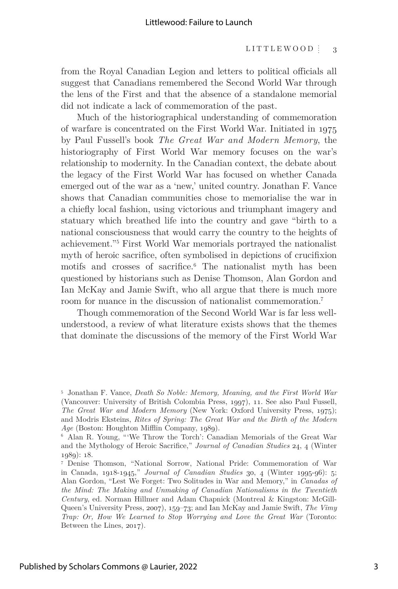#### LITTLEWOOD  $\frac{1}{3}$

from the Royal Canadian Legion and letters to political officials all suggest that Canadians remembered the Second World War through the lens of the First and that the absence of a standalone memorial did not indicate a lack of commemoration of the past.

Much of the historiographical understanding of commemoration of warfare is concentrated on the First World War. Initiated in 1975 by Paul Fussell's book *The Great War and Modern Memory*, the historiography of First World War memory focuses on the war's relationship to modernity. In the Canadian context, the debate about the legacy of the First World War has focused on whether Canada emerged out of the war as a 'new,' united country. Jonathan F. Vance shows that Canadian communities chose to memorialise the war in a chiefly local fashion, using victorious and triumphant imagery and statuary which breathed life into the country and gave "birth to a national consciousness that would carry the country to the heights of achievement."5 First World War memorials portrayed the nationalist myth of heroic sacrifice, often symbolised in depictions of crucifixion motifs and crosses of sacrifice.<sup>6</sup> The nationalist myth has been questioned by historians such as Denise Thomson, Alan Gordon and Ian McKay and Jamie Swift, who all argue that there is much more room for nuance in the discussion of nationalist commemoration.7

Though commemoration of the Second World War is far less wellunderstood, a review of what literature exists shows that the themes that dominate the discussions of the memory of the First World War

<sup>5</sup> Jonathan F. Vance, *Death So Noble: Memory, Meaning, and the First World War* (Vancouver: University of British Colombia Press, 1997), 11. See also Paul Fussell, *The Great War and Modern Memory* (New York: Oxford University Press, 1975); and Modris Eksteins, *Rites of Spring: The Great War and the Birth of the Modern Age* (Boston: Houghton Mifflin Company, 1989).

<sup>6</sup> Alan R. Young, "'We Throw the Torch': Canadian Memorials of the Great War and the Mythology of Heroic Sacrifice," *Journal of Canadian Studies* 24, 4 (Winter 1989): 18.

<sup>7</sup> Denise Thomson, "National Sorrow, National Pride: Commemoration of War in Canada, 1918-1945," *Journal of Canadian Studies* 30, 4 (Winter 1995-96): 5; Alan Gordon, "Lest We Forget: Two Solitudes in War and Memory," in *Canadas of the Mind: The Making and Unmaking of Canadian Nationalisms in the Twentieth Century*, ed. Norman Hillmer and Adam Chapnick (Montreal & Kingston: McGill-Queen's University Press, 2007), 159–73; and Ian McKay and Jamie Swift, *The Vimy Trap: Or, How We Learned to Stop Worrying and Love the Great War* (Toronto: Between the Lines, 2017).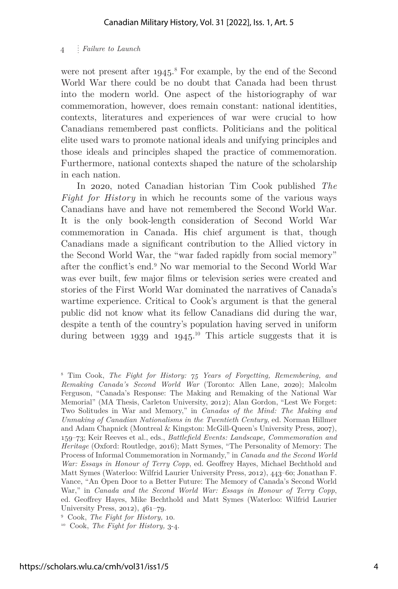were not present after 1945.<sup>8</sup> For example, by the end of the Second World War there could be no doubt that Canada had been thrust into the modern world. One aspect of the historiography of war commemoration, however, does remain constant: national identities, contexts, literatures and experiences of war were crucial to how Canadians remembered past conflicts. Politicians and the political elite used wars to promote national ideals and unifying principles and those ideals and principles shaped the practice of commemoration. Furthermore, national contexts shaped the nature of the scholarship in each nation.

In 2020, noted Canadian historian Tim Cook published *The Fight for History* in which he recounts some of the various ways Canadians have and have not remembered the Second World War. It is the only book-length consideration of Second World War commemoration in Canada. His chief argument is that, though Canadians made a significant contribution to the Allied victory in the Second World War, the "war faded rapidly from social memory" after the conflict's end.9 No war memorial to the Second World War was ever built, few major films or television series were created and stories of the First World War dominated the narratives of Canada's wartime experience. Critical to Cook's argument is that the general public did not know what its fellow Canadians did during the war, despite a tenth of the country's population having served in uniform during between  $1939$  and  $1945$ .<sup>10</sup> This article suggests that it is

<sup>8</sup> Tim Cook, *The Fight for History: 75 Years of Forgetting, Remembering, and Remaking Canada's Second World War* (Toronto: Allen Lane, 2020); Malcolm Ferguson, "Canada's Response: The Making and Remaking of the National War Memorial" (MA Thesis, Carleton University, 2012); Alan Gordon, "Lest We Forget: Two Solitudes in War and Memory," in *Canadas of the Mind: The Making and Unmaking of Canadian Nationalisms in the Twentieth Century*, ed. Norman Hillmer and Adam Chapnick (Montreal & Kingston: McGill-Queen's University Press, 2007), 159–73; Keir Reeves et al., eds., *Battlefield Events: Landscape, Commemoration and Heritage* (Oxford: Routledge, 2016); Matt Symes, "The Personality of Memory: The Process of Informal Commemoration in Normandy," in *Canada and the Second World War: Essays in Honour of Terry Copp*, ed. Geoffrey Hayes, Michael Bechthold and Matt Symes (Waterloo: Wilfrid Laurier University Press, 2012), 443–60; Jonathan F. Vance, "An Open Door to a Better Future: The Memory of Canada's Second World War," in *Canada and the Second World War: Essays in Honour of Terry Copp*, ed. Geoffrey Hayes, Mike Bechthold and Matt Symes (Waterloo: Wilfrid Laurier University Press, 2012), 461–79.

<sup>9</sup> Cook, *The Fight for History,* 10.

<sup>10</sup> Cook, *The Fight for History,* 3-4.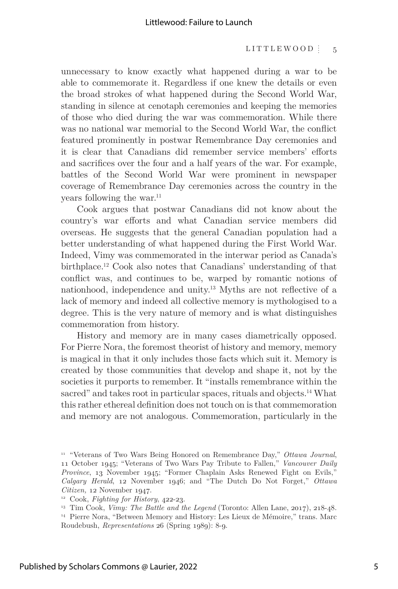unnecessary to know exactly what happened during a war to be able to commemorate it. Regardless if one knew the details or even the broad strokes of what happened during the Second World War, standing in silence at cenotaph ceremonies and keeping the memories of those who died during the war was commemoration. While there was no national war memorial to the Second World War, the conflict featured prominently in postwar Remembrance Day ceremonies and it is clear that Canadians did remember service members' efforts and sacrifices over the four and a half years of the war. For example, battles of the Second World War were prominent in newspaper coverage of Remembrance Day ceremonies across the country in the years following the war.<sup>11</sup>

Cook argues that postwar Canadians did not know about the country's war efforts and what Canadian service members did overseas. He suggests that the general Canadian population had a better understanding of what happened during the First World War. Indeed, Vimy was commemorated in the interwar period as Canada's birthplace.12 Cook also notes that Canadians' understanding of that conflict was, and continues to be, warped by romantic notions of nationhood, independence and unity.13 Myths are not reflective of a lack of memory and indeed all collective memory is mythologised to a degree. This is the very nature of memory and is what distinguishes commemoration from history.

History and memory are in many cases diametrically opposed. For Pierre Nora, the foremost theorist of history and memory, memory is magical in that it only includes those facts which suit it. Memory is created by those communities that develop and shape it, not by the societies it purports to remember. It "installs remembrance within the sacred" and takes root in particular spaces, rituals and objects.<sup>14</sup> What this rather ethereal definition does not touch on is that commemoration and memory are not analogous. Commemoration, particularly in the

<sup>11 &</sup>quot;Veterans of Two Wars Being Honored on Remembrance Day," *Ottawa Journal*, 11 October 1945; "Veterans of Two Wars Pay Tribute to Fallen," *Vancouver Daily Province*, 13 November 1945; "Former Chaplain Asks Renewed Fight on Evils," *Calgary Herald*, 12 November 1946; and "The Dutch Do Not Forget," *Ottawa Citizen,* 12 November 1947.

<sup>12</sup> Cook, *Fighting for History*, 422-23.

<sup>13</sup> Tim Cook, *Vimy: The Battle and the Legend* (Toronto: Allen Lane, 2017), 218-48. 14 Pierre Nora, "Between Memory and History: Les Lieux de Mémoire," trans. Marc Roudebush, *Representations* 26 (Spring 1989): 8-9.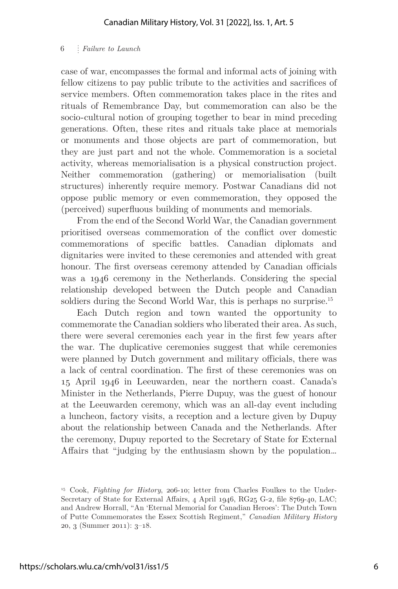case of war, encompasses the formal and informal acts of joining with fellow citizens to pay public tribute to the activities and sacrifices of service members. Often commemoration takes place in the rites and rituals of Remembrance Day, but commemoration can also be the socio-cultural notion of grouping together to bear in mind preceding generations. Often, these rites and rituals take place at memorials or monuments and those objects are part of commemoration, but they are just part and not the whole. Commemoration is a societal activity, whereas memorialisation is a physical construction project. Neither commemoration (gathering) or memorialisation (built structures) inherently require memory. Postwar Canadians did not oppose public memory or even commemoration, they opposed the (perceived) superfluous building of monuments and memorials.

From the end of the Second World War, the Canadian government prioritised overseas commemoration of the conflict over domestic commemorations of specific battles. Canadian diplomats and dignitaries were invited to these ceremonies and attended with great honour. The first overseas ceremony attended by Canadian officials was a 1946 ceremony in the Netherlands. Considering the special relationship developed between the Dutch people and Canadian soldiers during the Second World War, this is perhaps no surprise.<sup>15</sup>

Each Dutch region and town wanted the opportunity to commemorate the Canadian soldiers who liberated their area. As such, there were several ceremonies each year in the first few years after the war. The duplicative ceremonies suggest that while ceremonies were planned by Dutch government and military officials, there was a lack of central coordination. The first of these ceremonies was on 15 April 1946 in Leeuwarden, near the northern coast. Canada's Minister in the Netherlands, Pierre Dupuy, was the guest of honour at the Leeuwarden ceremony, which was an all-day event including a luncheon, factory visits, a reception and a lecture given by Dupuy about the relationship between Canada and the Netherlands. After the ceremony, Dupuy reported to the Secretary of State for External Affairs that "judging by the enthusiasm shown by the population…

<sup>15</sup> Cook, *Fighting for History*, 206-10; letter from Charles Foulkes to the Under-Secretary of State for External Affairs, 4 April 1946, RG25 G-2, file 8769-40, LAC; and Andrew Horrall, "An 'Eternal Memorial for Canadian Heroes': The Dutch Town of Putte Commemorates the Essex Scottish Regiment," *Canadian Military History* 20, 3 (Summer 2011): 3–18.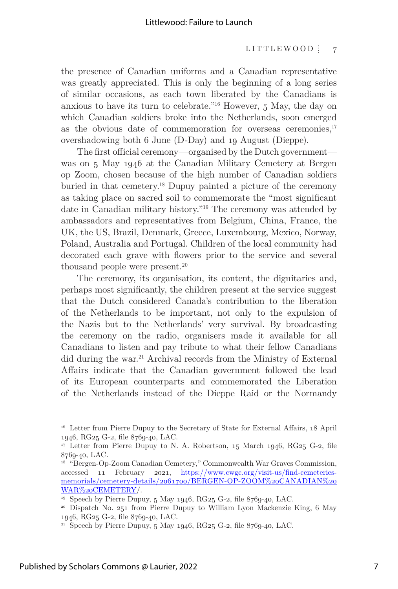the presence of Canadian uniforms and a Canadian representative was greatly appreciated. This is only the beginning of a long series of similar occasions, as each town liberated by the Canadians is anxious to have its turn to celebrate."16 However, 5 May, the day on which Canadian soldiers broke into the Netherlands, soon emerged as the obvious date of commemoration for overseas ceremonies, $17$ overshadowing both 6 June (D-Day) and 19 August (Dieppe).

The first official ceremony—organised by the Dutch government was on 5 May 1946 at the Canadian Military Cemetery at Bergen op Zoom, chosen because of the high number of Canadian soldiers buried in that cemetery.18 Dupuy painted a picture of the ceremony as taking place on sacred soil to commemorate the "most significant date in Canadian military history."19 The ceremony was attended by ambassadors and representatives from Belgium, China, France, the UK, the US, Brazil, Denmark, Greece, Luxembourg, Mexico, Norway, Poland, Australia and Portugal. Children of the local community had decorated each grave with flowers prior to the service and several thousand people were present.<sup>20</sup>

The ceremony, its organisation, its content, the dignitaries and, perhaps most significantly, the children present at the service suggest that the Dutch considered Canada's contribution to the liberation of the Netherlands to be important, not only to the expulsion of the Nazis but to the Netherlands' very survival. By broadcasting the ceremony on the radio, organisers made it available for all Canadians to listen and pay tribute to what their fellow Canadians did during the war.<sup>21</sup> Archival records from the Ministry of External Affairs indicate that the Canadian government followed the lead of its European counterparts and commemorated the Liberation of the Netherlands instead of the Dieppe Raid or the Normandy

<sup>&</sup>lt;sup>16</sup> Letter from Pierre Dupuy to the Secretary of State for External Affairs, 18 April 1946, RG25 G-2, file 8769-40, LAC.

<sup>&</sup>lt;sup>17</sup> Letter from Pierre Dupuy to N. A. Robertson, 15 March 1946, RG25 G-2, file 8769-40, LAC.

<sup>18 &</sup>quot;Bergen-Op-Zoom Canadian Cemetery," Commonwealth War Graves Commission, accessed 11 February 2021, https://www.cwgc.org/visit-us/find-cemeteriesmemorials/cemetery-details/2061700/BERGEN-OP-ZOOM%20CANADIAN%20 WAR%20CEMETERY/.

<sup>19</sup> Speech by Pierre Dupuy, 5 May 1946, RG25 G-2, file 8769-40, LAC.

<sup>20</sup> Dispatch No. 251 from Pierre Dupuy to William Lyon Mackenzie King, 6 May 1946, RG25 G-2, file 8769-40, LAC.

<sup>&</sup>lt;sup>21</sup> Speech by Pierre Dupuy, 5 May 1946, RG25 G-2, file 8769-40, LAC.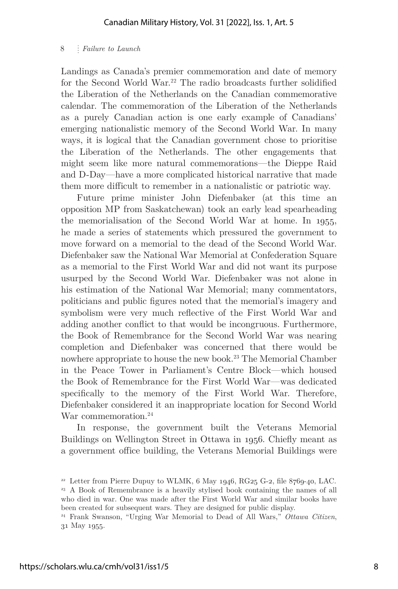Landings as Canada's premier commemoration and date of memory for the Second World War.<sup>22</sup> The radio broadcasts further solidified the Liberation of the Netherlands on the Canadian commemorative calendar. The commemoration of the Liberation of the Netherlands as a purely Canadian action is one early example of Canadians' emerging nationalistic memory of the Second World War. In many ways, it is logical that the Canadian government chose to prioritise the Liberation of the Netherlands. The other engagements that might seem like more natural commemorations—the Dieppe Raid and D-Day—have a more complicated historical narrative that made them more difficult to remember in a nationalistic or patriotic way.

Future prime minister John Diefenbaker (at this time an opposition MP from Saskatchewan) took an early lead spearheading the memorialisation of the Second World War at home. In 1955, he made a series of statements which pressured the government to move forward on a memorial to the dead of the Second World War. Diefenbaker saw the National War Memorial at Confederation Square as a memorial to the First World War and did not want its purpose usurped by the Second World War. Diefenbaker was not alone in his estimation of the National War Memorial; many commentators, politicians and public figures noted that the memorial's imagery and symbolism were very much reflective of the First World War and adding another conflict to that would be incongruous. Furthermore, the Book of Remembrance for the Second World War was nearing completion and Diefenbaker was concerned that there would be nowhere appropriate to house the new book.<sup>23</sup> The Memorial Chamber in the Peace Tower in Parliament's Centre Block—which housed the Book of Remembrance for the First World War—was dedicated specifically to the memory of the First World War. Therefore, Diefenbaker considered it an inappropriate location for Second World War commemoration.<sup>24</sup>

In response, the government built the Veterans Memorial Buildings on Wellington Street in Ottawa in 1956. Chiefly meant as a government office building, the Veterans Memorial Buildings were

<sup>&</sup>lt;sup>22</sup> Letter from Pierre Dupuy to WLMK,  $6$  May 1946, RG25 G-2, file  $8769-40$ , LAC. 23 A Book of Remembrance is a heavily stylised book containing the names of all who died in war. One was made after the First World War and similar books have been created for subsequent wars. They are designed for public display.

<sup>24</sup> Frank Swanson, "Urging War Memorial to Dead of All Wars," *Ottawa Citizen*, 31 May 1955.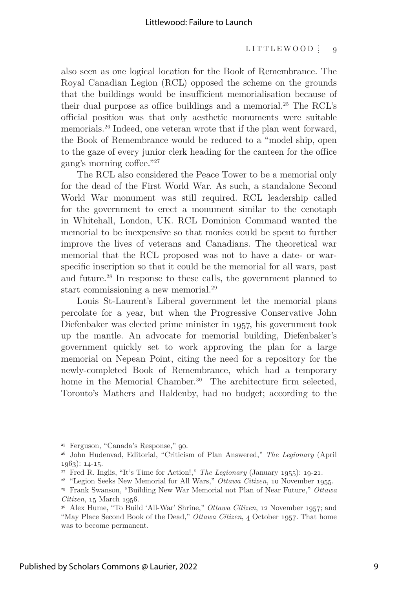#### LITTLEWOOD  $\frac{1}{9}$

also seen as one logical location for the Book of Remembrance. The Royal Canadian Legion (RCL) opposed the scheme on the grounds that the buildings would be insufficient memorialisation because of their dual purpose as office buildings and a memorial.25 The RCL's official position was that only aesthetic monuments were suitable memorials.26 Indeed, one veteran wrote that if the plan went forward, the Book of Remembrance would be reduced to a "model ship, open to the gaze of every junior clerk heading for the canteen for the office gang's morning coffee."27

The RCL also considered the Peace Tower to be a memorial only for the dead of the First World War. As such, a standalone Second World War monument was still required. RCL leadership called for the government to erect a monument similar to the cenotaph in Whitehall, London, UK. RCL Dominion Command wanted the memorial to be inexpensive so that monies could be spent to further improve the lives of veterans and Canadians. The theoretical war memorial that the RCL proposed was not to have a date- or warspecific inscription so that it could be the memorial for all wars, past and future.28 In response to these calls, the government planned to start commissioning a new memorial.<sup>29</sup>

Louis St-Laurent's Liberal government let the memorial plans percolate for a year, but when the Progressive Conservative John Diefenbaker was elected prime minister in 1957, his government took up the mantle. An advocate for memorial building, Diefenbaker's government quickly set to work approving the plan for a large memorial on Nepean Point, citing the need for a repository for the newly-completed Book of Remembrance, which had a temporary home in the Memorial Chamber.<sup>30</sup> The architecture firm selected, Toronto's Mathers and Haldenby, had no budget; according to the

<sup>25</sup> Ferguson, "Canada's Response," 90.

<sup>26</sup> John Hudenvad, Editorial, "Criticism of Plan Answered," *The Legionary* (April 1963): 14-15.

<sup>27</sup> Fred R. Inglis, "It's Time for Action!," *The Legionary* (January 1955): 19-21.

<sup>28 &</sup>quot;Legion Seeks New Memorial for All Wars," *Ottawa Citizen*, 10 November 1955.

<sup>29</sup> Frank Swanson, "Building New War Memorial not Plan of Near Future," *Ottawa Citizen*, 15 March 1956.

<sup>30</sup> Alex Hume, "To Build 'All-War' Shrine," *Ottawa Citizen*, 12 November 1957; and "May Place Second Book of the Dead," *Ottawa Citizen*, 4 October 1957. That home was to become permanent.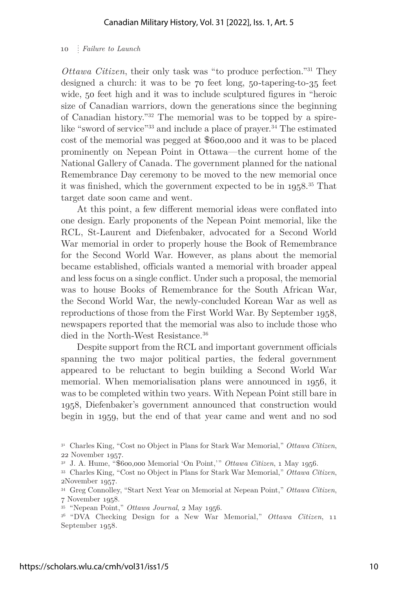*Ottawa Citizen*, their only task was "to produce perfection."31 They designed a church: it was to be 70 feet long, 50-tapering-to-35 feet wide, 50 feet high and it was to include sculptured figures in "heroic size of Canadian warriors, down the generations since the beginning of Canadian history."32 The memorial was to be topped by a spirelike "sword of service"<sup>33</sup> and include a place of prayer.<sup>34</sup> The estimated cost of the memorial was pegged at \$600,000 and it was to be placed prominently on Nepean Point in Ottawa—the current home of the National Gallery of Canada. The government planned for the national Remembrance Day ceremony to be moved to the new memorial once it was finished, which the government expected to be in  $1958$ <sup>35</sup> That target date soon came and went.

At this point, a few different memorial ideas were conflated into one design. Early proponents of the Nepean Point memorial, like the RCL, St-Laurent and Diefenbaker, advocated for a Second World War memorial in order to properly house the Book of Remembrance for the Second World War. However, as plans about the memorial became established, officials wanted a memorial with broader appeal and less focus on a single conflict. Under such a proposal, the memorial was to house Books of Remembrance for the South African War, the Second World War, the newly-concluded Korean War as well as reproductions of those from the First World War. By September 1958, newspapers reported that the memorial was also to include those who died in the North-West Resistance.<sup>36</sup>

Despite support from the RCL and important government officials spanning the two major political parties, the federal government appeared to be reluctant to begin building a Second World War memorial. When memorialisation plans were announced in 1956, it was to be completed within two years. With Nepean Point still bare in 1958, Diefenbaker's government announced that construction would begin in 1959, but the end of that year came and went and no sod

<sup>31</sup> Charles King, "Cost no Object in Plans for Stark War Memorial," *Ottawa Citizen*, 22 November 1957.

<sup>32</sup> J. A. Hume, "\$600,000 Memorial 'On Point,'" *Ottawa Citizen*, 1 May 1956.

<sup>33</sup> Charles King, "Cost no Object in Plans for Stark War Memorial," *Ottawa Citizen*, 2November 1957.

<sup>34</sup> Greg Connolley, "Start Next Year on Memorial at Nepean Point," *Ottawa Citizen*, 7 November 1958.

<sup>35 &</sup>quot;Nepean Point," *Ottawa Journal*, 2 May 1956.

<sup>36 &</sup>quot;DVA Checking Design for a New War Memorial," *Ottawa Citizen*, 11 September 1958.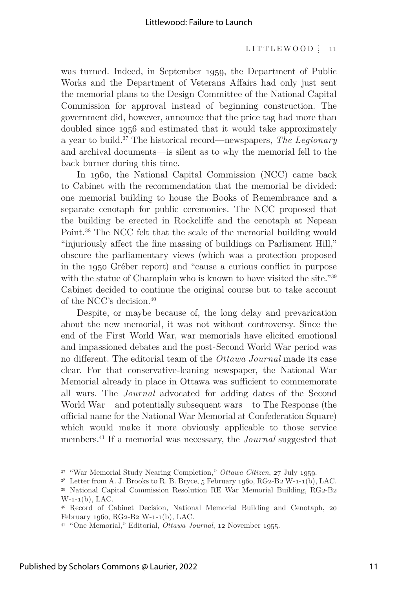was turned. Indeed, in September 1959, the Department of Public Works and the Department of Veterans Affairs had only just sent the memorial plans to the Design Committee of the National Capital Commission for approval instead of beginning construction. The government did, however, announce that the price tag had more than doubled since 1956 and estimated that it would take approximately a year to build.37 The historical record—newspapers, *The Legionary* and archival documents—is silent as to why the memorial fell to the back burner during this time.

In 1960, the National Capital Commission (NCC) came back to Cabinet with the recommendation that the memorial be divided: one memorial building to house the Books of Remembrance and a separate cenotaph for public ceremonies. The NCC proposed that the building be erected in Rockcliffe and the cenotaph at Nepean Point.38 The NCC felt that the scale of the memorial building would "injuriously affect the fine massing of buildings on Parliament Hill," obscure the parliamentary views (which was a protection proposed in the 1950 Gréber report) and "cause a curious conflict in purpose with the statue of Champlain who is known to have visited the site."<sup>39</sup> Cabinet decided to continue the original course but to take account of the NCC's decision.40

Despite, or maybe because of, the long delay and prevarication about the new memorial, it was not without controversy. Since the end of the First World War, war memorials have elicited emotional and impassioned debates and the post-Second World War period was no different. The editorial team of the *Ottawa Journal* made its case clear. For that conservative-leaning newspaper, the National War Memorial already in place in Ottawa was sufficient to commemorate all wars. The *Journal* advocated for adding dates of the Second World War—and potentially subsequent wars—to The Response (the official name for the National War Memorial at Confederation Square) which would make it more obviously applicable to those service members.41 If a memorial was necessary, the *Journal* suggested that

<sup>37 &</sup>quot;War Memorial Study Nearing Completion," *Ottawa Citizen*, 27 July 1959.

 $38$  Letter from A. J. Brooks to R. B. Bryce, 5 February 1960, RG2-B2 W-1-1(b), LAC. 39 National Capital Commission Resolution RE War Memorial Building, RG2-B2

W-1-1(b), LAC.

<sup>40</sup> Record of Cabinet Decision, National Memorial Building and Cenotaph, 20 February 1960, RG2-B2 W-1-1(b), LAC.

<sup>41 &</sup>quot;One Memorial," Editorial, *Ottawa Journal*, 12 November 1955.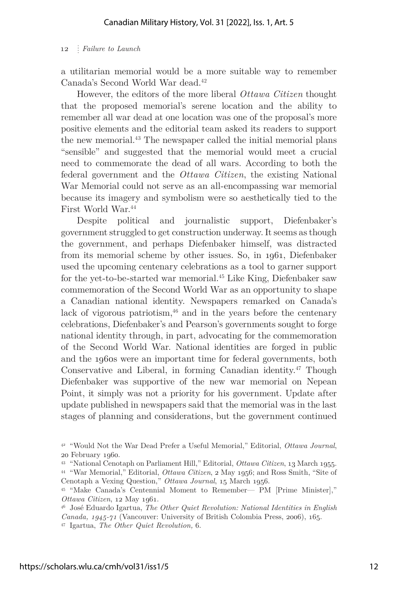a utilitarian memorial would be a more suitable way to remember Canada's Second World War dead.42

However, the editors of the more liberal *Ottawa Citizen* thought that the proposed memorial's serene location and the ability to remember all war dead at one location was one of the proposal's more positive elements and the editorial team asked its readers to support the new memorial.43 The newspaper called the initial memorial plans "sensible" and suggested that the memorial would meet a crucial need to commemorate the dead of all wars. According to both the federal government and the *Ottawa Citizen*, the existing National War Memorial could not serve as an all-encompassing war memorial because its imagery and symbolism were so aesthetically tied to the First World War.44

Despite political and journalistic support, Diefenbaker's government struggled to get construction underway. It seems as though the government, and perhaps Diefenbaker himself, was distracted from its memorial scheme by other issues. So, in 1961, Diefenbaker used the upcoming centenary celebrations as a tool to garner support for the yet-to-be-started war memorial.45 Like King, Diefenbaker saw commemoration of the Second World War as an opportunity to shape a Canadian national identity. Newspapers remarked on Canada's lack of vigorous patriotism, $46$  and in the years before the centenary celebrations, Diefenbaker's and Pearson's governments sought to forge national identity through, in part, advocating for the commemoration of the Second World War. National identities are forged in public and the 1960s were an important time for federal governments, both Conservative and Liberal, in forming Canadian identity.47 Though Diefenbaker was supportive of the new war memorial on Nepean Point, it simply was not a priority for his government. Update after update published in newspapers said that the memorial was in the last stages of planning and considerations, but the government continued

<sup>42 &</sup>quot;Would Not the War Dead Prefer a Useful Memorial," Editorial, *Ottawa Journal*, 20 February 1960.

<sup>43 &</sup>quot;National Cenotaph on Parliament Hill," Editorial, *Ottawa Citizen*, 13 March 1955. 44 "War Memorial," Editorial, *Ottawa Citizen*, 2 May 1956; and Ross Smith, "Site of Cenotaph a Vexing Question," *Ottawa Journal*, 15 March 1956.

<sup>45 &</sup>quot;Make Canada's Centennial Moment to Remember— PM [Prime Minister]," *Ottawa Citizen*, 12 May 1961.

<sup>46</sup> José Eduardo Igartua, *The Other Quiet Revolution: National Identities in English Canada, 1945-71* (Vancouver: University of British Colombia Press, 2006), 165. 47 Igartua, *The Other Quiet Revolution,* 6.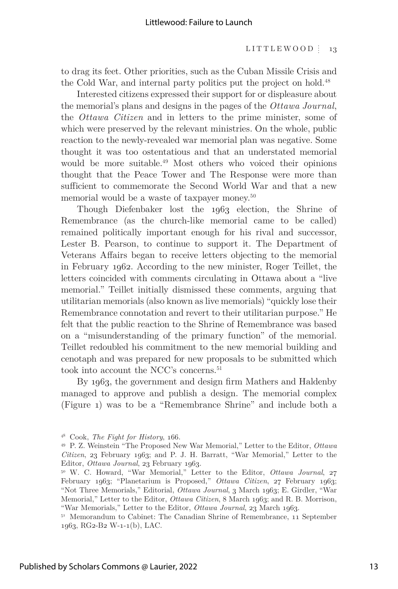#### LITTLEWOOD  $\frac{1}{3}$  13

to drag its feet. Other priorities, such as the Cuban Missile Crisis and the Cold War, and internal party politics put the project on hold.<sup>48</sup>

Interested citizens expressed their support for or displeasure about the memorial's plans and designs in the pages of the *Ottawa Journal*, the *Ottawa Citizen* and in letters to the prime minister, some of which were preserved by the relevant ministries. On the whole, public reaction to the newly-revealed war memorial plan was negative. Some thought it was too ostentatious and that an understated memorial would be more suitable.<sup>49</sup> Most others who voiced their opinions thought that the Peace Tower and The Response were more than sufficient to commemorate the Second World War and that a new memorial would be a waste of taxpayer money.<sup>50</sup>

Though Diefenbaker lost the 1963 election, the Shrine of Remembrance (as the church-like memorial came to be called) remained politically important enough for his rival and successor, Lester B. Pearson, to continue to support it. The Department of Veterans Affairs began to receive letters objecting to the memorial in February 1962. According to the new minister, Roger Teillet, the letters coincided with comments circulating in Ottawa about a "live memorial." Teillet initially dismissed these comments, arguing that utilitarian memorials (also known as live memorials) "quickly lose their Remembrance connotation and revert to their utilitarian purpose." He felt that the public reaction to the Shrine of Remembrance was based on a "misunderstanding of the primary function" of the memorial. Teillet redoubled his commitment to the new memorial building and cenotaph and was prepared for new proposals to be submitted which took into account the NCC's concerns.<sup>51</sup>

By 1963, the government and design firm Mathers and Haldenby managed to approve and publish a design. The memorial complex (Figure 1) was to be a "Remembrance Shrine" and include both a

<sup>48</sup> Cook, *The Fight for History*, 166.

<sup>49</sup> P. Z. Weinstein "The Proposed New War Memorial," Letter to the Editor, *Ottawa Citizen*, 23 February 1963; and P. J. H. Barratt, "War Memorial," Letter to the Editor, *Ottawa Journal*, 23 February 1963.

<sup>50</sup> W. C. Howard, "War Memorial," Letter to the Editor, *Ottawa Journal*, 27 February 1963; "Planetarium is Proposed," *Ottawa Citizen*, 27 February 1963; "Not Three Memorials," Editorial, *Ottawa Journal*, 3 March 1963; E. Girdler, "War Memorial," Letter to the Editor, *Ottawa Citizen*, 8 March 1963; and R. B. Morrison, "War Memorials," Letter to the Editor, *Ottawa Journal*, 23 March 1963.

<sup>51</sup> Memorandum to Cabinet: The Canadian Shrine of Remembrance, 11 September 1963, RG2-B2 W-1-1(b), LAC.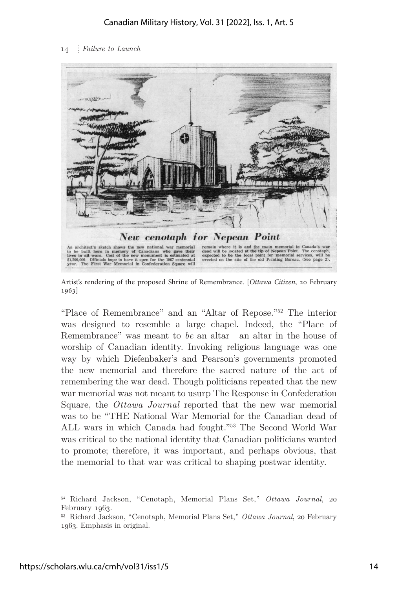

Artist's rendering of the proposed Shrine of Remembrance. [*Ottawa Citizen*, 20 February 1963]

"Place of Remembrance" and an "Altar of Repose."52 The interior was designed to resemble a large chapel. Indeed, the "Place of Remembrance" was meant to *be* an altar—an altar in the house of worship of Canadian identity. Invoking religious language was one way by which Diefenbaker's and Pearson's governments promoted the new memorial and therefore the sacred nature of the act of remembering the war dead. Though politicians repeated that the new war memorial was not meant to usurp The Response in Confederation Square, the *Ottawa Journal* reported that the new war memorial was to be "THE National War Memorial for the Canadian dead of ALL wars in which Canada had fought."53 The Second World War was critical to the national identity that Canadian politicians wanted to promote; therefore, it was important, and perhaps obvious, that the memorial to that war was critical to shaping postwar identity.

<sup>52</sup> Richard Jackson, "Cenotaph, Memorial Plans Set," *Ottawa Journal*, 20 February 1963.

<sup>53</sup> Richard Jackson, "Cenotaph, Memorial Plans Set," *Ottawa Journal*, 20 February 1963. Emphasis in original.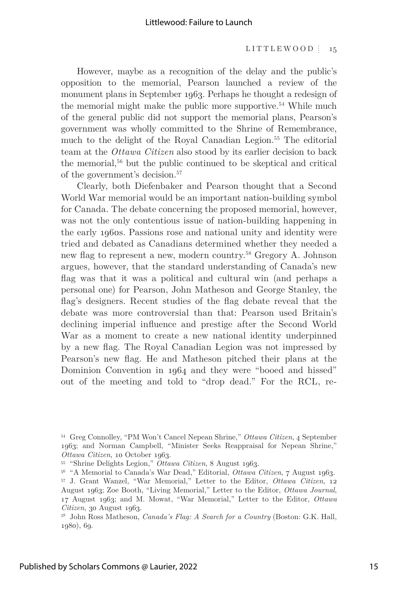However, maybe as a recognition of the delay and the public's opposition to the memorial, Pearson launched a review of the monument plans in September 1963. Perhaps he thought a redesign of the memorial might make the public more supportive.<sup>54</sup> While much of the general public did not support the memorial plans, Pearson's government was wholly committed to the Shrine of Remembrance, much to the delight of the Royal Canadian Legion.<sup>55</sup> The editorial team at the *Ottawa Citizen* also stood by its earlier decision to back the memorial,56 but the public continued to be skeptical and critical of the government's decision.57

Clearly, both Diefenbaker and Pearson thought that a Second World War memorial would be an important nation-building symbol for Canada. The debate concerning the proposed memorial, however, was not the only contentious issue of nation-building happening in the early 1960s. Passions rose and national unity and identity were tried and debated as Canadians determined whether they needed a new flag to represent a new, modern country.58 Gregory A. Johnson argues, however, that the standard understanding of Canada's new flag was that it was a political and cultural win (and perhaps a personal one) for Pearson, John Matheson and George Stanley, the flag's designers. Recent studies of the flag debate reveal that the debate was more controversial than that: Pearson used Britain's declining imperial influence and prestige after the Second World War as a moment to create a new national identity underpinned by a new flag. The Royal Canadian Legion was not impressed by Pearson's new flag. He and Matheson pitched their plans at the Dominion Convention in 1964 and they were "booed and hissed" out of the meeting and told to "drop dead." For the RCL, re-

<sup>54</sup> Greg Connolley, "PM Won't Cancel Nepean Shrine," *Ottawa Citizen*, 4 September 1963; and Norman Campbell, "Minister Seeks Reappraisal for Nepean Shrine," *Ottawa Citizen*, 10 October 1963.

<sup>55 &</sup>quot;Shrine Delights Legion," *Ottawa Citizen*, 8 August 1963.

<sup>56 &</sup>quot;A Memorial to Canada's War Dead," Editorial, *Ottawa Citizen*, 7 August 1963. 57 J. Grant Wanzel, "War Memorial," Letter to the Editor, *Ottawa Citizen*, 12 August 1963; Zoe Booth, "Living Memorial," Letter to the Editor, *Ottawa Journal*, 17 August 1963; and M. Mowat, "War Memorial," Letter to the Editor, *Ottawa Citizen*, 30 August 1963.

<sup>58</sup> John Ross Matheson, *Canada's Flag: A Search for a Country* (Boston: G.K. Hall, 1980), 69.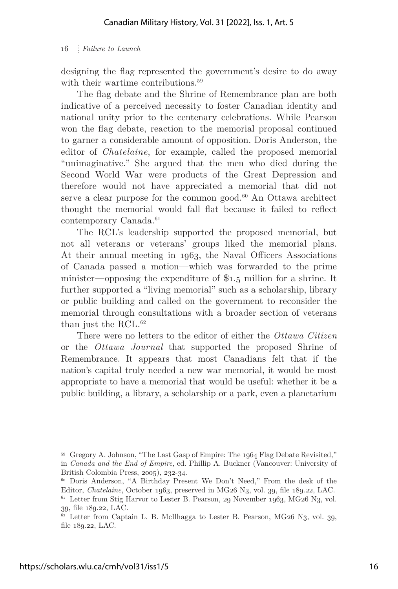designing the flag represented the government's desire to do away with their wartime contributions.<sup>59</sup>

The flag debate and the Shrine of Remembrance plan are both indicative of a perceived necessity to foster Canadian identity and national unity prior to the centenary celebrations. While Pearson won the flag debate, reaction to the memorial proposal continued to garner a considerable amount of opposition. Doris Anderson, the editor of *Chatelaine*, for example*,* called the proposed memorial "unimaginative." She argued that the men who died during the Second World War were products of the Great Depression and therefore would not have appreciated a memorial that did not serve a clear purpose for the common good.<sup>60</sup> An Ottawa architect thought the memorial would fall flat because it failed to reflect contemporary Canada.<sup>61</sup>

The RCL's leadership supported the proposed memorial, but not all veterans or veterans' groups liked the memorial plans. At their annual meeting in 1963, the Naval Officers Associations of Canada passed a motion—which was forwarded to the prime minister—opposing the expenditure of \$1.5 million for a shrine. It further supported a "living memorial" such as a scholarship, library or public building and called on the government to reconsider the memorial through consultations with a broader section of veterans than just the RCL. $^{62}$ 

There were no letters to the editor of either the *Ottawa Citizen*  or the *Ottawa Journal* that supported the proposed Shrine of Remembrance. It appears that most Canadians felt that if the nation's capital truly needed a new war memorial, it would be most appropriate to have a memorial that would be useful: whether it be a public building, a library, a scholarship or a park, even a planetarium

<sup>59</sup> Gregory A. Johnson, "The Last Gasp of Empire: The 1964 Flag Debate Revisited," in *Canada and the End of Empire*, ed. Phillip A. Buckner (Vancouver: University of British Colombia Press, 2005), 232-34.

<sup>60</sup> Doris Anderson, "A Birthday Present We Don't Need," From the desk of the Editor, *Chatelaine*, October 1963, preserved in MG26 N3, vol. 39, file 189.22, LAC.  $61$  Letter from Stig Harvor to Lester B. Pearson, 29 November 1963, MG26 N3, vol. 39, file 189.22, LAC.

 $62$  Letter from Captain L. B. McIlhagga to Lester B. Pearson, MG26 N3, vol. 39, file 189.22, LAC.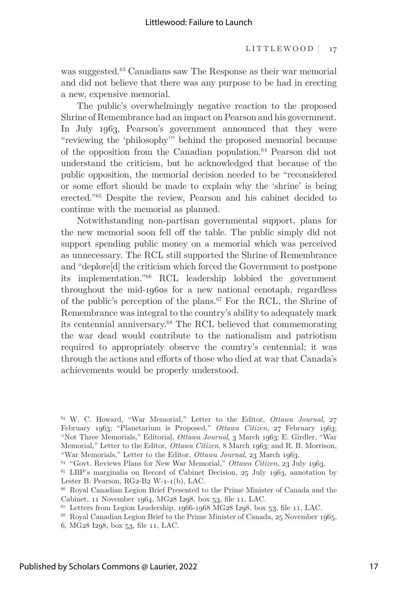was suggested.63 Canadians saw The Response as their war memorial and did not believe that there was any purpose to be had in erecting a new, expensive memorial.

The public's overwhelmingly negative reaction to the proposed Shrine of Remembrance had an impact on Pearson and his government. In July 1963, Pearson's government announced that they were "reviewing the 'philosophy'" behind the proposed memorial because of the opposition from the Canadian population.64 Pearson did not understand the criticism, but he acknowledged that because of the public opposition, the memorial decision needed to be "reconsidered or some effort should be made to explain why the 'shrine' is being erected."65 Despite the review, Pearson and his cabinet decided to continue with the memorial as planned.

Notwithstanding non-partisan governmental support, plans for the new memorial soon fell off the table. The public simply did not support spending public money on a memorial which was perceived as unnecessary. The RCL still supported the Shrine of Remembrance and "deplore[d] the criticism which forced the Government to postpone its implementation."66 RCL leadership lobbied the government throughout the mid-1960s for a new national cenotaph, regardless of the public's perception of the plans.<sup>67</sup> For the RCL, the Shrine of Remembrance was integral to the country's ability to adequately mark its centennial anniversary.68 The RCL believed that commemorating the war dead would contribute to the nationalism and patriotism required to appropriately observe the country's centennial; it was through the actions and efforts of those who died at war that Canada's achievements would be properly understood.

<sup>63</sup> W. C. Howard, "War Memorial," Letter to the Editor, *Ottawa Journal*, 27 February 1963; "Planetarium is Proposed," *Ottawa Citizen*, 27 February 1963; "Not Three Memorials," Editorial, *Ottawa Journal*, 3 March 1963; E. Girdler, "War Memorial," Letter to the Editor, *Ottawa Citizen*, 8 March 1963; and R. B. Morrison, "War Memorials," Letter to the Editor, *Ottawa Journal*, 23 March 1963.

<sup>64 &</sup>quot;Govt. Reviews Plans for New War Memorial," *Ottawa Citizen*, 23 July 1963.

<sup>65</sup> LBP's marginalia on Record of Cabinet Decision, 25 July 1963, annotation by Lester B. Pearson, RG2-B2 W-1-1(b), LAC.

<sup>66</sup> Royal Canadian Legion Brief Presented to the Prime Minister of Canada and the Cabinet, 11 November 1964, MG28 I298, box 53, file 11, LAC.

 $67$  Letters from Legion Leadership, 1966-1968 MG28 I298, box 53, file 11, LAC.

<sup>68</sup> Royal Canadian Legion Brief to the Prime Minister of Canada, 25 November 1965,

<sup>6,</sup> MG28 I298, box 53, file 11, LAC.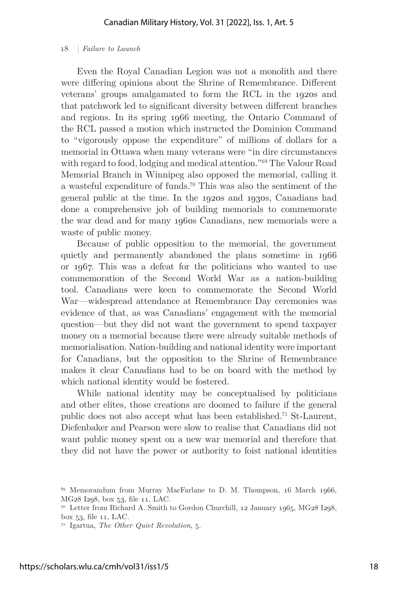Even the Royal Canadian Legion was not a monolith and there were differing opinions about the Shrine of Remembrance. Different veterans' groups amalgamated to form the RCL in the 1920s and that patchwork led to significant diversity between different branches and regions. In its spring 1966 meeting, the Ontario Command of the RCL passed a motion which instructed the Dominion Command to "vigorously oppose the expenditure" of millions of dollars for a memorial in Ottawa when many veterans were "in dire circumstances with regard to food, lodging and medical attention."69 The Valour Road Memorial Branch in Winnipeg also opposed the memorial, calling it a wasteful expenditure of funds.70 This was also the sentiment of the general public at the time. In the 1920s and 1930s, Canadians had done a comprehensive job of building memorials to commemorate the war dead and for many 1960s Canadians, new memorials were a waste of public money.

Because of public opposition to the memorial, the government quietly and permanently abandoned the plans sometime in 1966 or 1967. This was a defeat for the politicians who wanted to use commemoration of the Second World War as a nation-building tool. Canadians were keen to commemorate the Second World War—widespread attendance at Remembrance Day ceremonies was evidence of that, as was Canadians' engagement with the memorial question—but they did not want the government to spend taxpayer money on a memorial because there were already suitable methods of memorialisation. Nation-building and national identity were important for Canadians, but the opposition to the Shrine of Remembrance makes it clear Canadians had to be on board with the method by which national identity would be fostered.

While national identity may be conceptualised by politicians and other elites, those creations are doomed to failure if the general public does not also accept what has been established.71 St-Laurent, Diefenbaker and Pearson were slow to realise that Canadians did not want public money spent on a new war memorial and therefore that they did not have the power or authority to foist national identities

<sup>&</sup>lt;sup>69</sup> Memorandum from Murray MacFarlane to D. M. Thompson, 16 March 1966, MG28 I298, box 53, file 11, LAC.

<sup>70</sup> Letter from Richard A. Smith to Gordon Churchill, 12 January 1965, MG28 I298, box 53, file 11, LAC.

<sup>71</sup> Igartua, *The Other Quiet Revolution*, 5.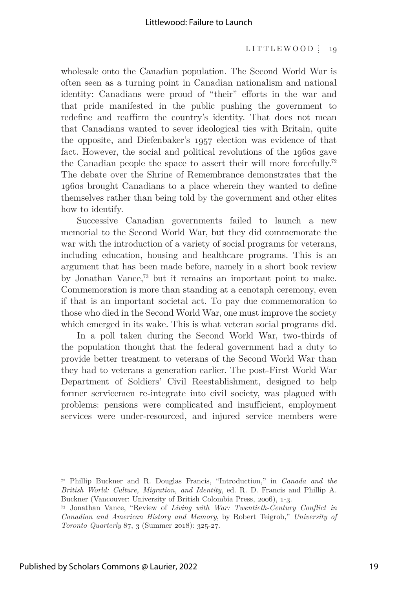wholesale onto the Canadian population. The Second World War is often seen as a turning point in Canadian nationalism and national identity: Canadians were proud of "their" efforts in the war and that pride manifested in the public pushing the government to redefine and reaffirm the country's identity. That does not mean that Canadians wanted to sever ideological ties with Britain, quite the opposite, and Diefenbaker's 1957 election was evidence of that fact. However, the social and political revolutions of the 1960s gave the Canadian people the space to assert their will more forcefully.72 The debate over the Shrine of Remembrance demonstrates that the 1960s brought Canadians to a place wherein they wanted to define themselves rather than being told by the government and other elites how to identify.

Successive Canadian governments failed to launch a new memorial to the Second World War, but they did commemorate the war with the introduction of a variety of social programs for veterans, including education, housing and healthcare programs. This is an argument that has been made before, namely in a short book review by Jonathan Vance,73 but it remains an important point to make. Commemoration is more than standing at a cenotaph ceremony, even if that is an important societal act. To pay due commemoration to those who died in the Second World War, one must improve the society which emerged in its wake. This is what veteran social programs did.

In a poll taken during the Second World War, two-thirds of the population thought that the federal government had a duty to provide better treatment to veterans of the Second World War than they had to veterans a generation earlier. The post-First World War Department of Soldiers' Civil Reestablishment, designed to help former servicemen re-integrate into civil society, was plagued with problems: pensions were complicated and insufficient, employment services were under-resourced, and injured service members were

<sup>72</sup> Phillip Buckner and R. Douglas Francis, "Introduction," in *Canada and the British World: Culture, Migration, and Identity*, ed. R. D. Francis and Phillip A. Buckner (Vancouver: University of British Colombia Press, 2006), 1-3.

<sup>73</sup> Jonathan Vance, "Review of *Living with War: Twentieth-Century Conflict in Canadian and American History and Memory*, by Robert Teigrob," *University of Toronto Quarterly* 87, 3 (Summer 2018): 325-27.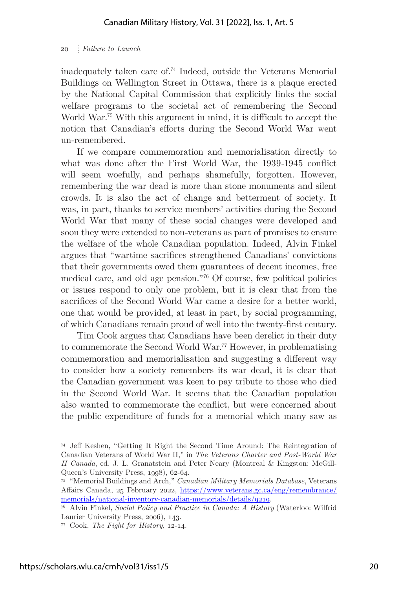inadequately taken care of.74 Indeed, outside the Veterans Memorial Buildings on Wellington Street in Ottawa, there is a plaque erected by the National Capital Commission that explicitly links the social welfare programs to the societal act of remembering the Second World War.<sup>75</sup> With this argument in mind, it is difficult to accept the notion that Canadian's efforts during the Second World War went un-remembered.

If we compare commemoration and memorialisation directly to what was done after the First World War, the 1939-1945 conflict will seem woefully, and perhaps shamefully, forgotten. However, remembering the war dead is more than stone monuments and silent crowds. It is also the act of change and betterment of society. It was, in part, thanks to service members' activities during the Second World War that many of these social changes were developed and soon they were extended to non-veterans as part of promises to ensure the welfare of the whole Canadian population. Indeed, Alvin Finkel argues that "wartime sacrifices strengthened Canadians' convictions that their governments owed them guarantees of decent incomes, free medical care, and old age pension."76 Of course, few political policies or issues respond to only one problem, but it is clear that from the sacrifices of the Second World War came a desire for a better world, one that would be provided, at least in part, by social programming, of which Canadians remain proud of well into the twenty-first century.

Tim Cook argues that Canadians have been derelict in their duty to commemorate the Second World War.77 However, in problematising commemoration and memorialisation and suggesting a different way to consider how a society remembers its war dead, it is clear that the Canadian government was keen to pay tribute to those who died in the Second World War. It seems that the Canadian population also wanted to commemorate the conflict, but were concerned about the public expenditure of funds for a memorial which many saw as

<sup>74</sup> Jeff Keshen, "Getting It Right the Second Time Around: The Reintegration of Canadian Veterans of World War II," in *The Veterans Charter and Post-World War II Canada*, ed. J. L. Granatstein and Peter Neary (Montreal & Kingston: McGill-Queen's University Press, 1998), 62-64.

<sup>75 &</sup>quot;Memorial Buildings and Arch," *Canadian Military Memorials Database*, Veterans Affairs Canada, 25 February 2022, https://www.veterans.gc.ca/eng/remembrance/ memorials/national-inventory-canadian-memorials/details/9219. 76 Alvin Finkel, *Social Policy and Practice in Canada: A History* (Waterloo: Wilfrid

Laurier University Press, 2006), 143.

<sup>77</sup> Cook, *The Fight for History*, 12-14.